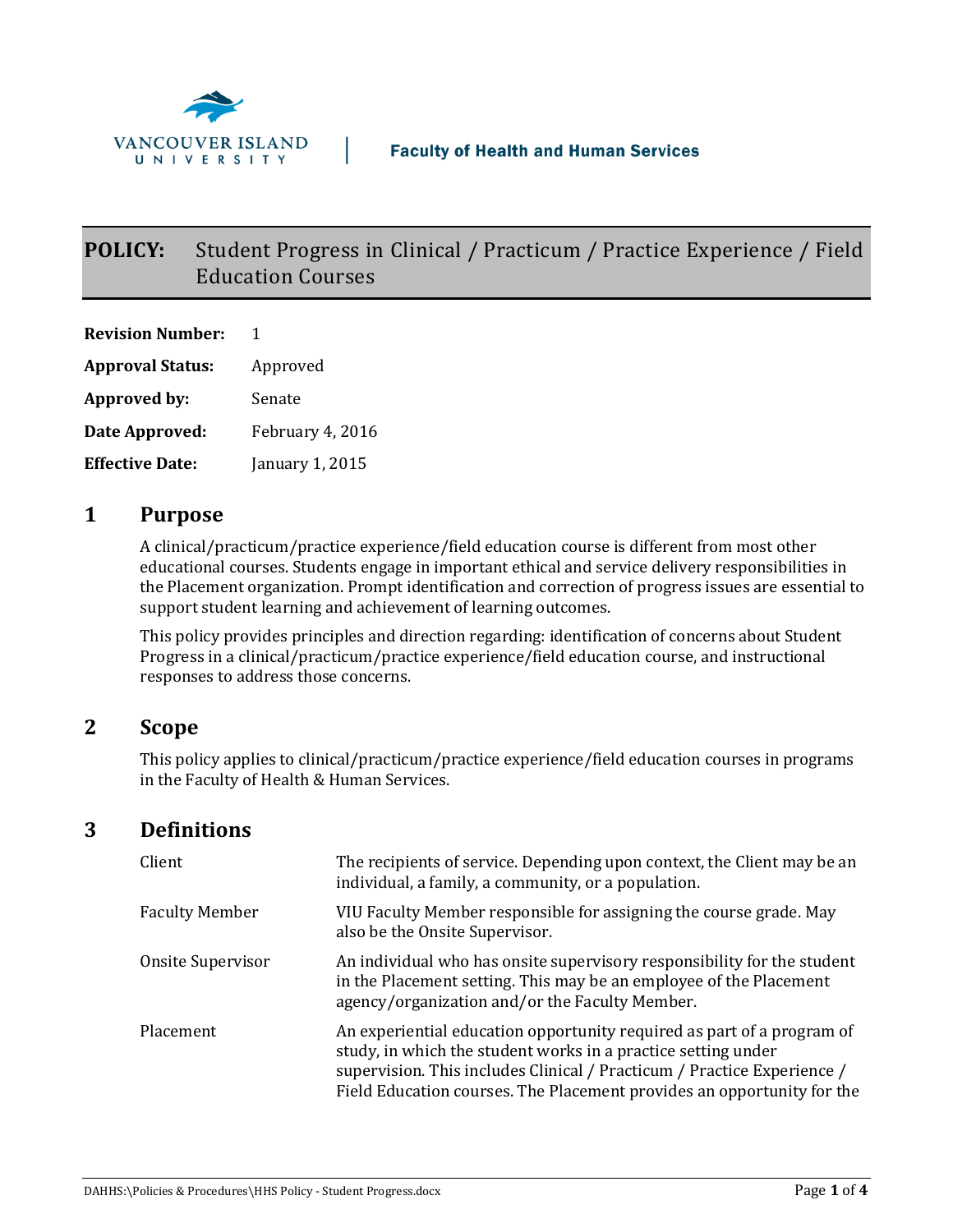

# **POLICY:** Student Progress in Clinical / Practicum / Practice Experience / Field Education Courses

**Revision Number:** 1 **Approval Status:** Approved **Approved by:** Senate **Date Approved:** February 4, 2016 **Effective Date:** January 1, 2015

## **1 Purpose**

A clinical/practicum/practice experience/field education course is different from most other educational courses. Students engage in important ethical and service delivery responsibilities in the Placement organization. Prompt identification and correction of progress issues are essential to support student learning and achievement of learning outcomes.

This policy provides principles and direction regarding: identification of concerns about Student Progress in a clinical/practicum/practice experience/field education course, and instructional responses to address those concerns.

## **2 Scope**

This policy applies to clinical/practicum/practice experience/field education courses in programs in the Faculty of Health & Human Services.

## **3 Definitions**

| Client                | The recipients of service. Depending upon context, the Client may be an<br>individual, a family, a community, or a population.                                                                                                                                                               |
|-----------------------|----------------------------------------------------------------------------------------------------------------------------------------------------------------------------------------------------------------------------------------------------------------------------------------------|
| <b>Faculty Member</b> | VIU Faculty Member responsible for assigning the course grade. May<br>also be the Onsite Supervisor.                                                                                                                                                                                         |
| Onsite Supervisor     | An individual who has onsite supervisory responsibility for the student<br>in the Placement setting. This may be an employee of the Placement<br>agency/organization and/or the Faculty Member.                                                                                              |
| Placement             | An experiential education opportunity required as part of a program of<br>study, in which the student works in a practice setting under<br>supervision. This includes Clinical / Practicum / Practice Experience /<br>Field Education courses. The Placement provides an opportunity for the |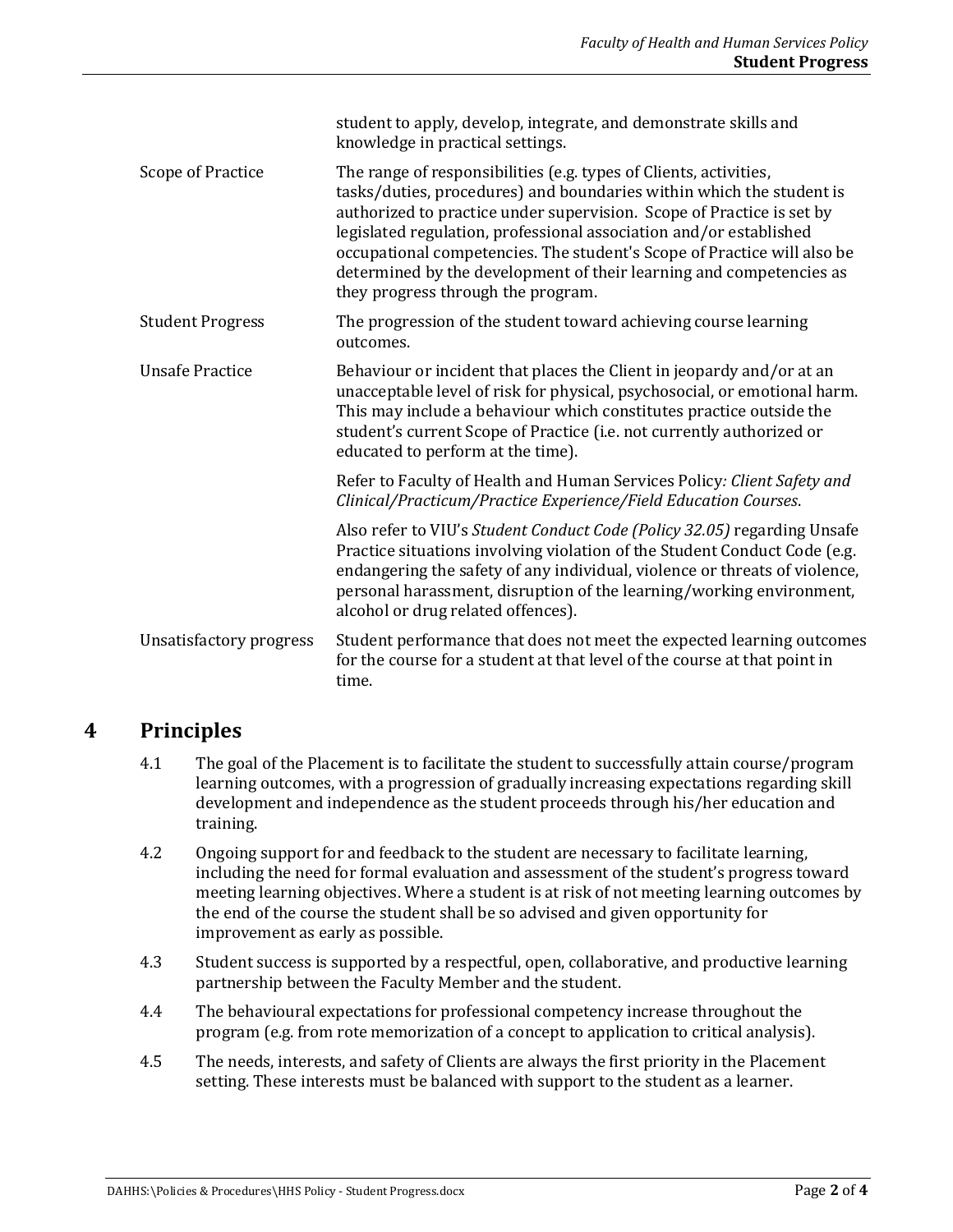|                         | student to apply, develop, integrate, and demonstrate skills and<br>knowledge in practical settings.                                                                                                                                                                                                                                                                                                                                                                             |
|-------------------------|----------------------------------------------------------------------------------------------------------------------------------------------------------------------------------------------------------------------------------------------------------------------------------------------------------------------------------------------------------------------------------------------------------------------------------------------------------------------------------|
| Scope of Practice       | The range of responsibilities (e.g. types of Clients, activities,<br>tasks/duties, procedures) and boundaries within which the student is<br>authorized to practice under supervision. Scope of Practice is set by<br>legislated regulation, professional association and/or established<br>occupational competencies. The student's Scope of Practice will also be<br>determined by the development of their learning and competencies as<br>they progress through the program. |
| <b>Student Progress</b> | The progression of the student toward achieving course learning<br>outcomes.                                                                                                                                                                                                                                                                                                                                                                                                     |
| <b>Unsafe Practice</b>  | Behaviour or incident that places the Client in jeopardy and/or at an<br>unacceptable level of risk for physical, psychosocial, or emotional harm.<br>This may include a behaviour which constitutes practice outside the<br>student's current Scope of Practice (i.e. not currently authorized or<br>educated to perform at the time).                                                                                                                                          |
|                         | Refer to Faculty of Health and Human Services Policy: Client Safety and<br>Clinical/Practicum/Practice Experience/Field Education Courses.                                                                                                                                                                                                                                                                                                                                       |
|                         | Also refer to VIU's Student Conduct Code (Policy 32.05) regarding Unsafe<br>Practice situations involving violation of the Student Conduct Code (e.g.<br>endangering the safety of any individual, violence or threats of violence,<br>personal harassment, disruption of the learning/working environment,<br>alcohol or drug related offences).                                                                                                                                |
| Unsatisfactory progress | Student performance that does not meet the expected learning outcomes<br>for the course for a student at that level of the course at that point in<br>time.                                                                                                                                                                                                                                                                                                                      |

## **4 Principles**

- 4.1 The goal of the Placement is to facilitate the student to successfully attain course/program learning outcomes, with a progression of gradually increasing expectations regarding skill development and independence as the student proceeds through his/her education and training.
- 4.2 Ongoing support for and feedback to the student are necessary to facilitate learning, including the need for formal evaluation and assessment of the student's progress toward meeting learning objectives. Where a student is at risk of not meeting learning outcomes by the end of the course the student shall be so advised and given opportunity for improvement as early as possible.
- 4.3 Student success is supported by a respectful, open, collaborative, and productive learning partnership between the Faculty Member and the student.
- 4.4 The behavioural expectations for professional competency increase throughout the program (e.g. from rote memorization of a concept to application to critical analysis).
- 4.5 The needs, interests, and safety of Clients are always the first priority in the Placement setting. These interests must be balanced with support to the student as a learner.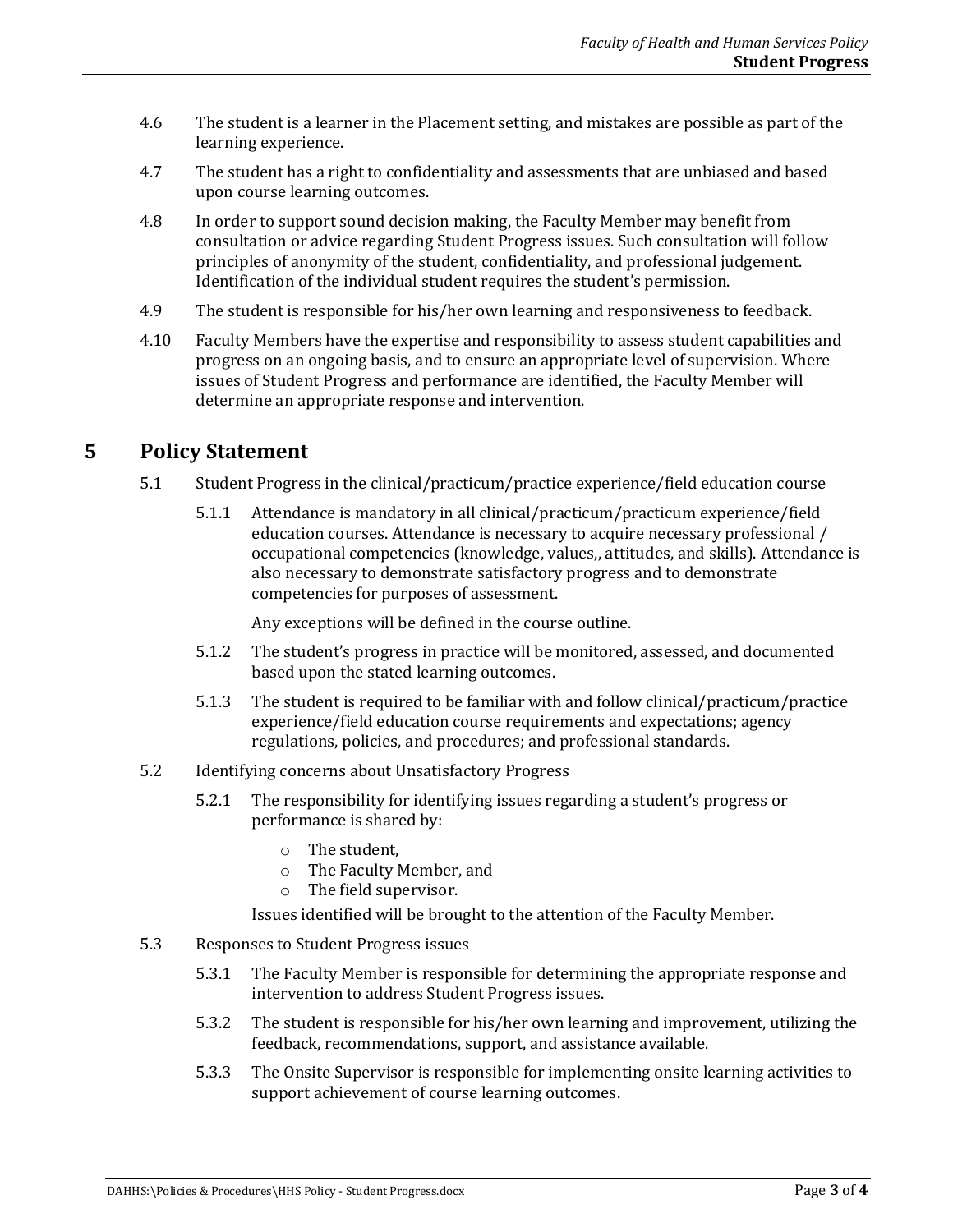- 4.6 The student is a learner in the Placement setting, and mistakes are possible as part of the learning experience.
- 4.7 The student has a right to confidentiality and assessments that are unbiased and based upon course learning outcomes.
- 4.8 In order to support sound decision making, the Faculty Member may benefit from consultation or advice regarding Student Progress issues. Such consultation will follow principles of anonymity of the student, confidentiality, and professional judgement. Identification of the individual student requires the student's permission.
- 4.9 The student is responsible for his/her own learning and responsiveness to feedback.
- 4.10 Faculty Members have the expertise and responsibility to assess student capabilities and progress on an ongoing basis, and to ensure an appropriate level of supervision. Where issues of Student Progress and performance are identified, the Faculty Member will determine an appropriate response and intervention.

#### **5 Policy Statement**

- 5.1 Student Progress in the clinical/practicum/practice experience/field education course
	- 5.1.1 Attendance is mandatory in all clinical/practicum/practicum experience/field education courses. Attendance is necessary to acquire necessary professional / occupational competencies (knowledge, values,, attitudes, and skills). Attendance is also necessary to demonstrate satisfactory progress and to demonstrate competencies for purposes of assessment.

Any exceptions will be defined in the course outline.

- 5.1.2 The student's progress in practice will be monitored, assessed, and documented based upon the stated learning outcomes.
- 5.1.3 The student is required to be familiar with and follow clinical/practicum/practice experience/field education course requirements and expectations; agency regulations, policies, and procedures; and professional standards.
- 5.2 Identifying concerns about Unsatisfactory Progress
	- 5.2.1 The responsibility for identifying issues regarding a student's progress or performance is shared by:
		- o The student,
		- o The Faculty Member, and
		- o The field supervisor.

Issues identified will be brought to the attention of the Faculty Member.

- 5.3 Responses to Student Progress issues
	- 5.3.1 The Faculty Member is responsible for determining the appropriate response and intervention to address Student Progress issues.
	- 5.3.2 The student is responsible for his/her own learning and improvement, utilizing the feedback, recommendations, support, and assistance available.
	- 5.3.3 The Onsite Supervisor is responsible for implementing onsite learning activities to support achievement of course learning outcomes.